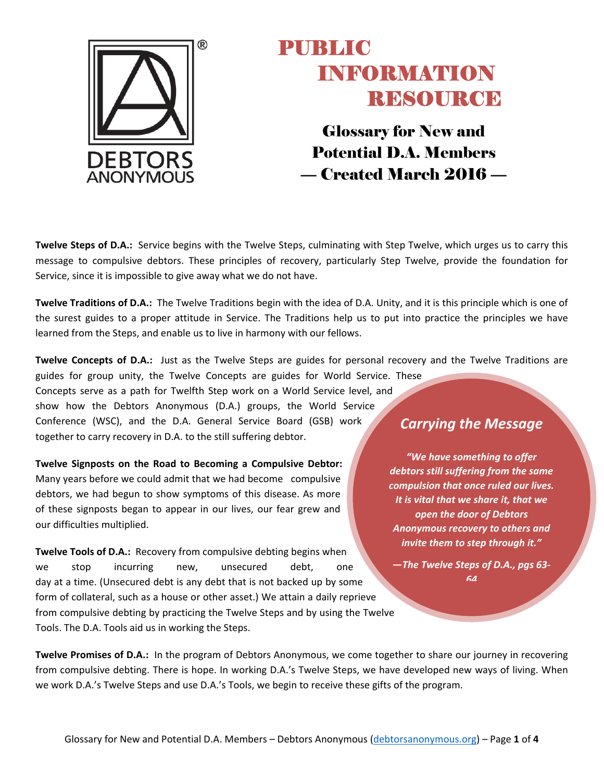

Glossary for New and Potential D.A. Members — Created March 2016 —

**Twelve Steps of D.A.:** Service begins with the Twelve Steps, culminating with Step Twelve, which urges us to carry this message to compulsive debtors. These principles of recovery, particularly Step Twelve, provide the foundation for Service, since it is impossible to give away what we do not have.

**Twelve Traditions of D.A.:** The Twelve Traditions begin with the idea of D.A. Unity, and it is this principle which is one of the surest guides to a proper attitude in Service. The Traditions help us to put into practice the principles we have learned from the Steps, and enable us to live in harmony with our fellows.

**Twelve Concepts of D.A.:** Just as the Twelve Steps are guides for personal recovery and the Twelve Traditions are

guides for group unity, the Twelve Concepts are guides for World Service. These Concepts serve as a path for Twelfth Step work on a World Service level, and show how the Debtors Anonymous (D.A.) groups, the World Service Conference (WSC), and the D.A. General Service Board (GSB) work together to carry recovery in D.A. to the still suffering debtor.

**Twelve Signposts on the Road to Becoming a Compulsive Debtor:** Many years before we could admit that we had become compulsive debtors, we had begun to show symptoms of this disease. As more of these signposts began to appear in our lives, our fear grew and our difficulties multiplied.

**Twelve Tools of D.A.:** Recovery from compulsive debting begins when we stop incurring new, unsecured debt, one day at a time. (Unsecured debt is any debt that is not backed up by some form of collateral, such as a house or other asset.) We attain a daily reprieve from compulsive debting by practicing the Twelve Steps and by using the Twelve Tools. The D.A. Tools aid us in working the Steps.

#### *Carrying the Message*

*"We have something to offer debtors still suffering from the same compulsion that once ruled our lives. It is vital that we share it, that we open the door of Debtors Anonymous recovery to others and invite them to step through it."*

*—The Twelve Steps of D.A., pgs 63‐ 64*

**Twelve Promises of D.A.:** In the program of Debtors Anonymous, we come together to share our journey in recovering from compulsive debting. There is hope. In working D.A.'s Twelve Steps, we have developed new ways of living. When we work D.A.'s Twelve Steps and use D.A.'s Tools, we begin to receive these gifts of the program.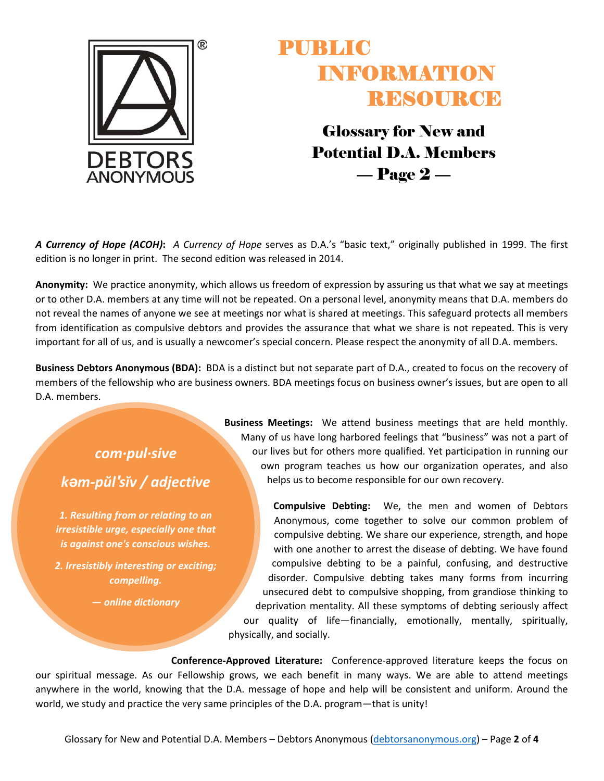

Glossary for New and Potential D.A. Members  $-$  Page  $2-$ 

*A Currency of Hope (ACOH)***:** *A Currency of Hope* serves as D.A.'s "basic text," originally published in 1999. The first edition is no longer in print. The second edition was released in 2014.

**Anonymity:** We practice anonymity, which allows us freedom of expression by assuring us that what we say at meetings or to other D.A. members at any time will not be repeated. On a personal level, anonymity means that D.A. members do not reveal the names of anyone we see at meetings nor what is shared at meetings. This safeguard protects all members from identification as compulsive debtors and provides the assurance that what we share is not repeated. This is very important for all of us, and is usually a newcomer's special concern. Please respect the anonymity of all D.A. members.

**Business Debtors Anonymous (BDA):** BDA is a distinct but not separate part of D.A., created to focus on the recovery of members of the fellowship who are business owners. BDA meetings focus on business owner's issues, but are open to all D.A. members.

#### *com∙pul∙sive kəm‐pŭl′sĭv / adjective*

*1. Resulting from or relating to an irresistible urge, especially one that is against one's conscious wishes.*

*2. Irresistibly interesting or exciting; compelling.*

*— online dictionary*

**Business Meetings:** We attend business meetings that are held monthly. Many of us have long harbored feelings that "business" was not a part of our lives but for others more qualified. Yet participation in running our own program teaches us how our organization operates, and also helps us to become responsible for our own recovery.

**Compulsive Debting:** We, the men and women of Debtors Anonymous, come together to solve our common problem of compulsive debting. We share our experience, strength, and hope with one another to arrest the disease of debting. We have found compulsive debting to be a painful, confusing, and destructive disorder. Compulsive debting takes many forms from incurring unsecured debt to compulsive shopping, from grandiose thinking to deprivation mentality. All these symptoms of debting seriously affect our quality of life—financially, emotionally, mentally, spiritually, physically, and socially.

**Conference‐Approved Literature:** Conference‐approved literature keeps the focus on our spiritual message. As our Fellowship grows, we each benefit in many ways. We are able to attend meetings anywhere in the world, knowing that the D.A. message of hope and help will be consistent and uniform. Around the world, we study and practice the very same principles of the D.A. program—that is unity!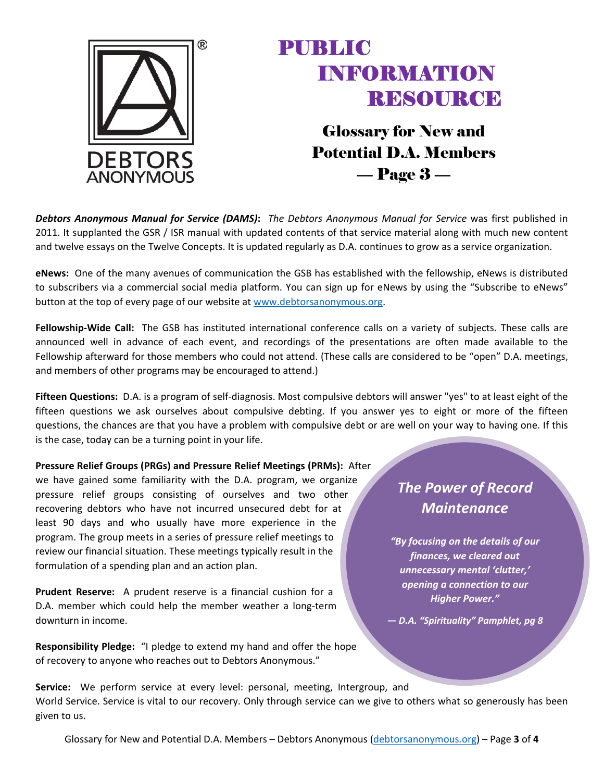

Glossary for New and Potential D.A. Members — Page 3 —

*Debtors Anonymous Manual for Service (DAMS)***:** *The Debtors Anonymous Manual for Service* was first published in 2011. It supplanted the GSR / ISR manual with updated contents of that service material along with much new content and twelve essays on the Twelve Concepts. It is updated regularly as D.A. continues to grow as a service organization.

**eNews:** One of the many avenues of communication the GSB has established with the fellowship, eNews is distributed to subscribers via a commercial social media platform. You can sign up for eNews by using the "Subscribe to eNews" button at the top of every page of our website at www.debtorsanonymous.org.

**Fellowship‐Wide Call:** The GSB has instituted international conference calls on a variety of subjects. These calls are announced well in advance of each event, and recordings of the presentations are often made available to the Fellowship afterward for those members who could not attend. (These calls are considered to be "open" D.A. meetings, and members of other programs may be encouraged to attend.)

**Fifteen Questions:** D.A. is a program of self‐diagnosis. Most compulsive debtors will answer "yes" to at least eight of the fifteen questions we ask ourselves about compulsive debting. If you answer yes to eight or more of the fifteen questions, the chances are that you have a problem with compulsive debt or are well on your way to having one. If this is the case, today can be a turning point in your life.

**Pressure Relief Groups (PRGs) and Pressure Relief Meetings (PRMs):** After we have gained some familiarity with the D.A. program, we organize pressure relief groups consisting of ourselves and two other recovering debtors who have not incurred unsecured debt for at least 90 days and who usually have more experience in the program. The group meets in a series of pressure relief meetings to review our financial situation. These meetings typically result in the formulation of a spending plan and an action plan.

**Prudent Reserve:** A prudent reserve is a financial cushion for a D.A. member which could help the member weather a long‐term downturn in income.

**Responsibility Pledge:** "I pledge to extend my hand and offer the hope of recovery to anyone who reaches out to Debtors Anonymous."

#### *The Power of Record Maintenance*

*"By focusing on the details of our finances, we cleared out unnecessary mental 'clutter,' opening a connection to our Higher Power."* 

*— D.A. "Spirituality" Pamphlet, pg 8*

**Service:** We perform service at every level: personal, meeting, Intergroup, and World Service. Service is vital to our recovery. Only through service can we give to others what so generously has been given to us.